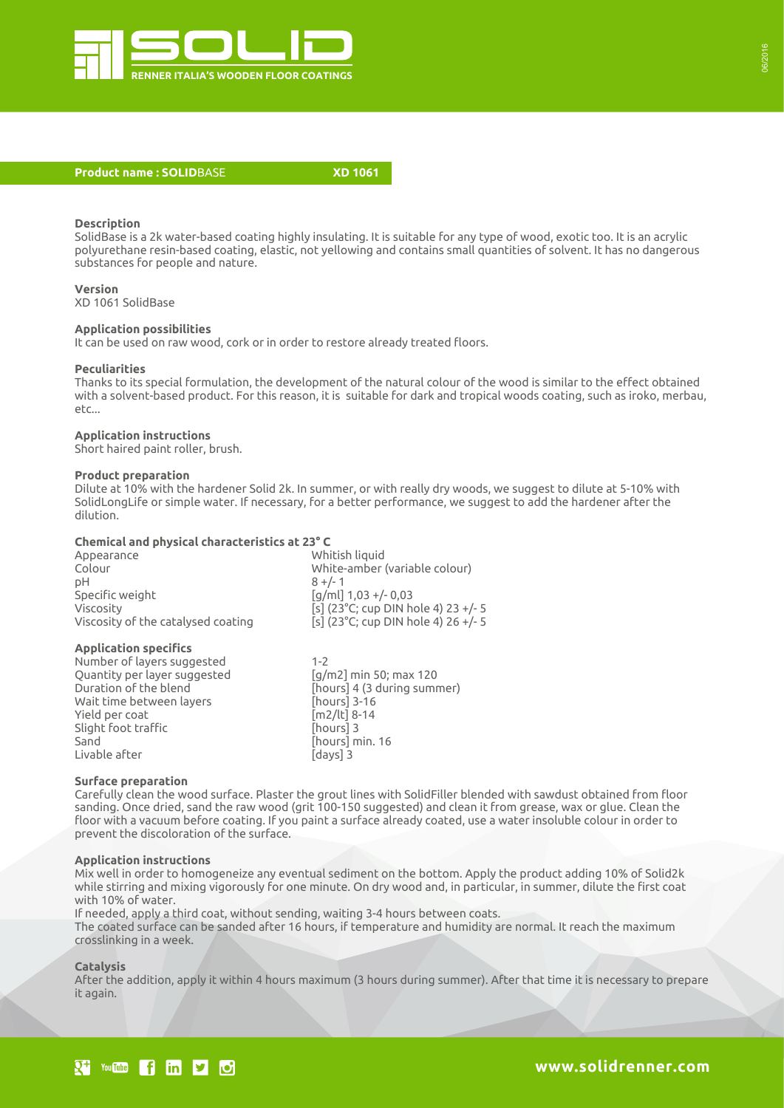

#### **Product name : SOLID**BASE **XD 1061**

# **Description**

SolidBase is a 2k water-based coating highly insulating. It is suitable for any type of wood, exotic too. It is an acrylic polyurethane resin-based coating, elastic, not yellowing and contains small quantities of solvent. It has no dangerous substances for people and nature.

**Version** XD 1061 SolidBase

# **Application possibilities**

It can be used on raw wood, cork or in order to restore already treated floors.

#### **Peculiarities**

Thanks to its special formulation, the development of the natural colour of the wood is similar to the effect obtained with a solvent-based product. For this reason, it is suitable for dark and tropical woods coating, such as iroko, merbau, etc...

#### **Application instructions**

Short haired paint roller, brush.

#### **Product preparation**

Dilute at 10% with the hardener Solid 2k. In summer, or with really dry woods, we suggest to dilute at 5-10% with SolidLongLife or simple water. If necessary, for a better performance, we suggest to add the hardener after the dilution.

# **Chemical and physical characteristics at 23° C**

| Appearance                         | Whitish liquid                      |
|------------------------------------|-------------------------------------|
| Colour                             | White-amber (variable colour)       |
| pН                                 | $8 +/- 1$                           |
| Specific weight                    | $\lceil q/ml \rceil 1,03 + (-0,03)$ |
| Viscosity                          | [s] (23°C; cup DIN hole 4) 23 +/- 5 |
| Viscosity of the catalysed coating | [s] (23°C; cup DIN hole 4) 26 +/- 5 |
| <b>Application specifics</b>       |                                     |

Number of layers suggested 1-2 Quantity per layer suggested [g/m2] min 50; max 120 Duration of the blend [hours] 4 (3 during summer) Wait time between layers **[hours]** 3-16 Yield per coat [m2/lt] 8-14 Slight foot traffic **and in the foot traffic [hours]** 3 Sand **[hours]** min. 16 Livable after **Exercise 2** [days] 3

# **Surface preparation**

Carefully clean the wood surface. Plaster the grout lines with SolidFiller blended with sawdust obtained from floor sanding. Once dried, sand the raw wood (grit 100-150 suggested) and clean it from grease, wax or glue. Clean the floor with a vacuum before coating. If you paint a surface already coated, use a water insoluble colour in order to prevent the discoloration of the surface.

# **Application instructions**

Mix well in order to homogeneize any eventual sediment on the bottom. Apply the product adding 10% of Solid2k while stirring and mixing vigorously for one minute. On dry wood and, in particular, in summer, dilute the first coat with 10% of water.

If needed, apply a third coat, without sending, waiting 3-4 hours between coats. The coated surface can be sanded after 16 hours, if temperature and humidity are normal. It reach the maximum crosslinking in a week.

#### **Catalysis**

After the addition, apply it within 4 hours maximum (3 hours during summer). After that time it is necessary to prepare it again.

# You **the finite finite** for